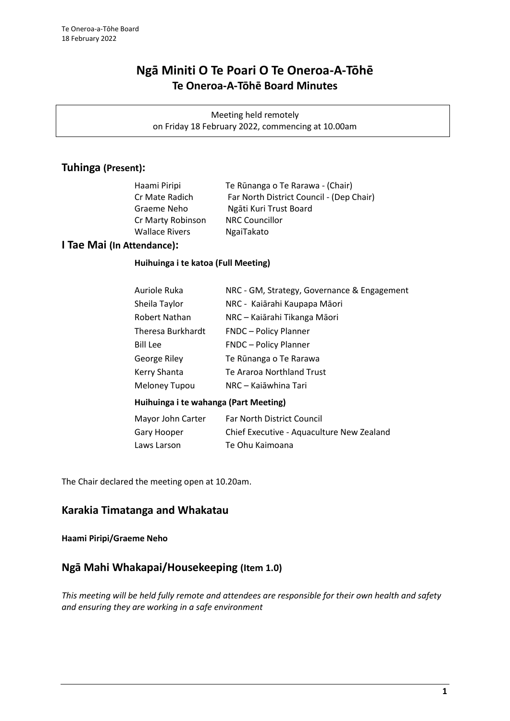# **Ngā Miniti O Te Poari O Te Oneroa-A-Tōhē Te Oneroa-A-Tōhē Board Minutes**

Meeting held remotely on Friday 18 February 2022, commencing at 10.00am

## **Tuhinga (Present):**

| Haami Piripi          | Te Rūnanga o Te Rarawa - (Chair)         |
|-----------------------|------------------------------------------|
| Cr Mate Radich        | Far North District Council - (Dep Chair) |
| Graeme Neho           | Ngāti Kuri Trust Board                   |
| Cr Marty Robinson     | <b>NRC Councillor</b>                    |
| <b>Wallace Rivers</b> | NgaiTakato                               |
|                       |                                          |

## **I Tae Mai (In Attendance):**

#### **Huihuinga i te katoa (Full Meeting)**

| Auriole Ruka         | NRC - GM, Strategy, Governance & Engagement |
|----------------------|---------------------------------------------|
| Sheila Taylor        | NRC - Kaiārahi Kaupapa Māori                |
| Robert Nathan        | NRC - Kaiārahi Tikanga Māori                |
| Theresa Burkhardt    | <b>FNDC</b> - Policy Planner                |
| <b>Bill Lee</b>      | <b>FNDC</b> - Policy Planner                |
| George Riley         | Te Rūnanga o Te Rarawa                      |
| Kerry Shanta         | Te Araroa Northland Trust                   |
| <b>Meloney Tupou</b> | NRC – Kajāwhina Tari                        |
|                      |                                             |

### **Huihuinga i te wahanga (Part Meeting)**

| Far North District Council                |
|-------------------------------------------|
| Chief Executive - Aquaculture New Zealand |
| Te Ohu Kaimoana                           |
|                                           |

The Chair declared the meeting open at 10.20am.

## **Karakia Timatanga and Whakatau**

### **Haami Piripi/Graeme Neho**

## **Ngā Mahi Whakapai/Housekeeping (Item 1.0)**

*This meeting will be held fully remote and attendees are responsible for their own health and safety and ensuring they are working in a safe environment*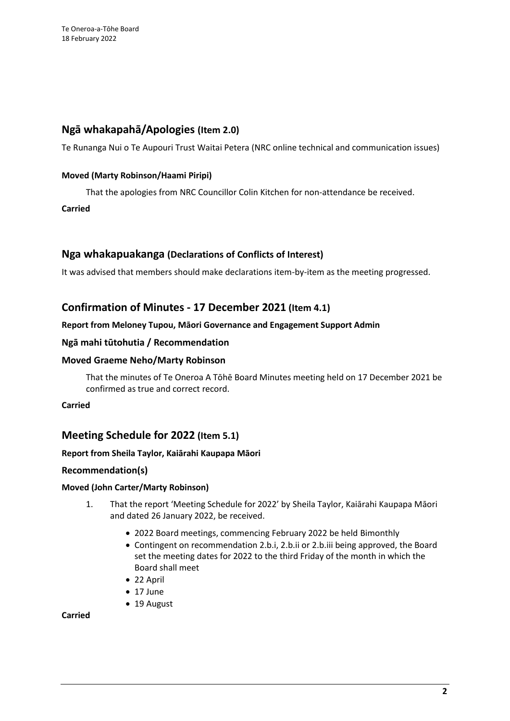## **Ngā whakapahā/Apologies (Item 2.0)**

Te Runanga Nui o Te Aupouri Trust Waitai Petera (NRC online technical and communication issues)

### **Moved (Marty Robinson/Haami Piripi)**

That the apologies from NRC Councillor Colin Kitchen for non-attendance be received.

### **Carried**

## **Nga whakapuakanga (Declarations of Conflicts of Interest)**

It was advised that members should make declarations item-by-item as the meeting progressed.

## **Confirmation of Minutes - 17 December 2021 (Item 4.1)**

### **Report from Meloney Tupou, Māori Governance and Engagement Support Admin**

### **Ngā mahi tūtohutia / Recommendation**

#### **Moved Graeme Neho/Marty Robinson**

That the minutes of Te Oneroa A Tōhē Board Minutes meeting held on 17 December 2021 be confirmed as true and correct record.

### **Carried**

## **Meeting Schedule for 2022 (Item 5.1)**

### **Report from Sheila Taylor, Kaiārahi Kaupapa Māori**

### **Recommendation(s)**

### **Moved (John Carter/Marty Robinson)**

- 1. That the report 'Meeting Schedule for 2022' by Sheila Taylor, Kaiārahi Kaupapa Māori and dated 26 January 2022, be received.
	- 2022 Board meetings, commencing February 2022 be held Bimonthly
	- Contingent on recommendation 2.b.i, 2.b.ii or 2.b.iii being approved, the Board set the meeting dates for 2022 to the third Friday of the month in which the Board shall meet
	- 22 April
	- 17 June
	- 19 August

#### **Carried**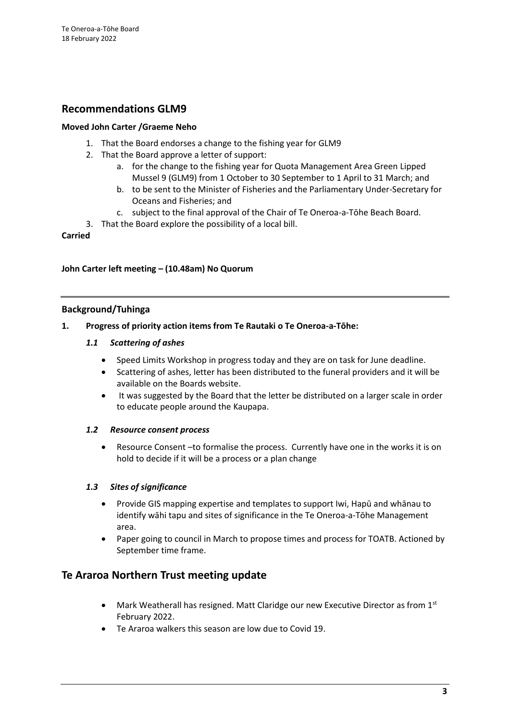## **Recommendations GLM9**

### **Moved John Carter /Graeme Neho**

- 1. That the Board endorses a change to the fishing year for GLM9
- 2. That the Board approve a letter of support:
	- a. for the change to the fishing year for Quota Management Area Green Lipped Mussel 9 (GLM9) from 1 October to 30 September to 1 April to 31 March; and
	- b. to be sent to the Minister of Fisheries and the Parliamentary Under-Secretary for Oceans and Fisheries; and
	- c. subject to the final approval of the Chair of Te Oneroa-a-Tōhe Beach Board.
- 3. That the Board explore the possibility of a local bill.

#### **Carried**

#### **John Carter left meeting – (10.48am) No Quorum**

#### **Background/Tuhinga**

#### **1. Progress of priority action items from Te Rautaki o Te Oneroa-a-Tōhe:**

#### *1.1 Scattering of ashes*

- Speed Limits Workshop in progress today and they are on task for June deadline.
- Scattering of ashes, letter has been distributed to the funeral providers and it will be available on the Boards website.
- It was suggested by the Board that the letter be distributed on a larger scale in order to educate people around the Kaupapa.

#### *1.2 Resource consent process*

• Resource Consent –to formalise the process. Currently have one in the works it is on hold to decide if it will be a process or a plan change

#### *1.3 Sites of significance*

- Provide GIS mapping expertise and templates to support Iwi, Hapū and whānau to identify wāhi tapu and sites of significance in the Te Oneroa-a-Tōhe Management area.
- Paper going to council in March to propose times and process for TOATB. Actioned by September time frame.

## **Te Araroa Northern Trust meeting update**

- Mark Weatherall has resigned. Matt Claridge our new Executive Director as from  $1<sup>st</sup>$ February 2022.
- Te Araroa walkers this season are low due to Covid 19.